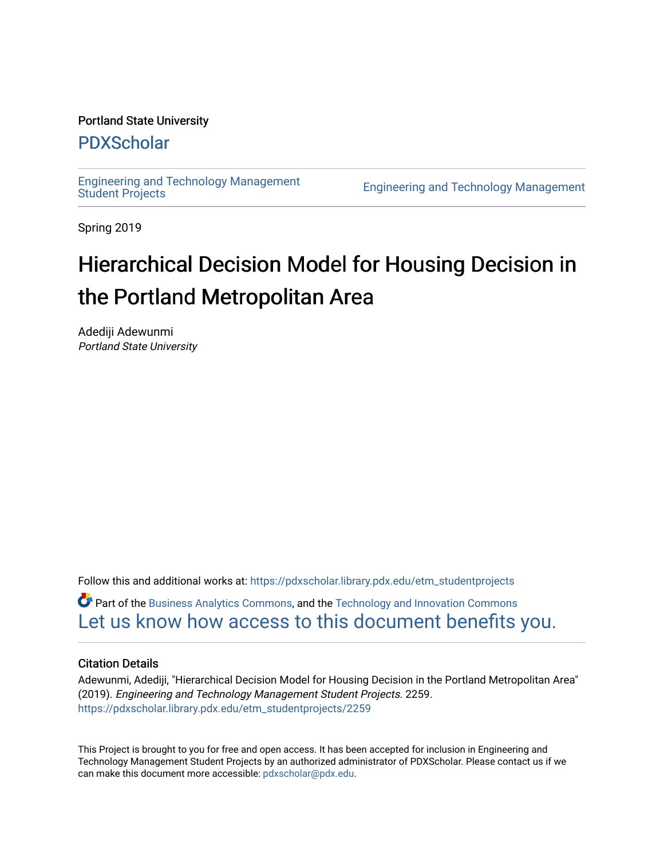## Portland State University

# [PDXScholar](https://pdxscholar.library.pdx.edu/)

[Engineering and Technology Management](https://pdxscholar.library.pdx.edu/etm_studentprojects) 

**Engineering and Technology Management** 

Spring 2019

# Hierarchical Decision Model for Housing Decision in the Portland Metropolitan Area

Adediji Adewunmi Portland State University

Follow this and additional works at: [https://pdxscholar.library.pdx.edu/etm\\_studentprojects](https://pdxscholar.library.pdx.edu/etm_studentprojects?utm_source=pdxscholar.library.pdx.edu%2Fetm_studentprojects%2F2259&utm_medium=PDF&utm_campaign=PDFCoverPages) 

Part of the [Business Analytics Commons](http://network.bepress.com/hgg/discipline/1398?utm_source=pdxscholar.library.pdx.edu%2Fetm_studentprojects%2F2259&utm_medium=PDF&utm_campaign=PDFCoverPages), and the [Technology and Innovation Commons](http://network.bepress.com/hgg/discipline/644?utm_source=pdxscholar.library.pdx.edu%2Fetm_studentprojects%2F2259&utm_medium=PDF&utm_campaign=PDFCoverPages) [Let us know how access to this document benefits you.](http://library.pdx.edu/services/pdxscholar-services/pdxscholar-feedback/?ref=https://pdxscholar.library.pdx.edu/etm_studentprojects/2259) 

## Citation Details

Adewunmi, Adediji, "Hierarchical Decision Model for Housing Decision in the Portland Metropolitan Area" (2019). Engineering and Technology Management Student Projects. 2259. [https://pdxscholar.library.pdx.edu/etm\\_studentprojects/2259](https://pdxscholar.library.pdx.edu/etm_studentprojects/2259?utm_source=pdxscholar.library.pdx.edu%2Fetm_studentprojects%2F2259&utm_medium=PDF&utm_campaign=PDFCoverPages)

This Project is brought to you for free and open access. It has been accepted for inclusion in Engineering and Technology Management Student Projects by an authorized administrator of PDXScholar. Please contact us if we can make this document more accessible: [pdxscholar@pdx.edu.](mailto:pdxscholar@pdx.edu)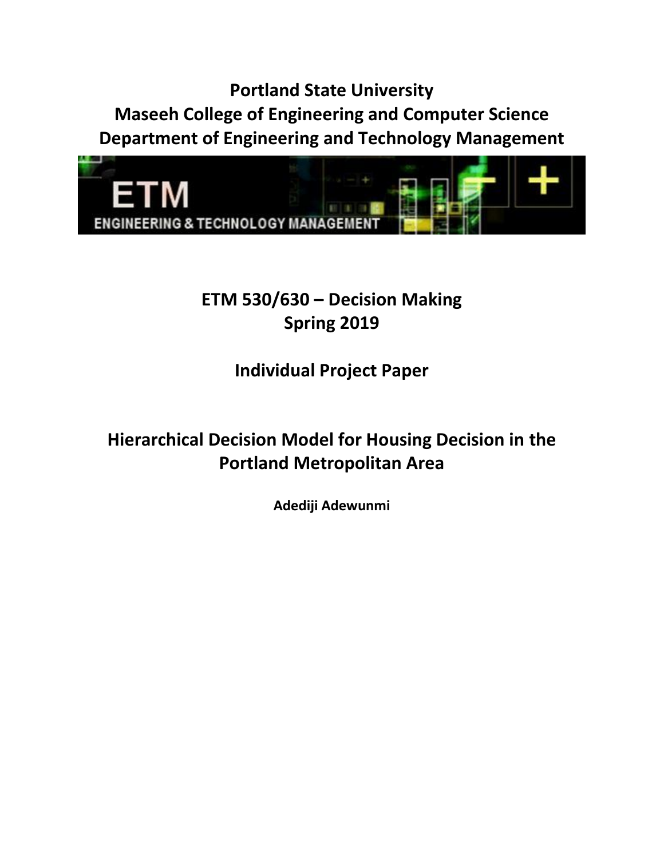**Portland State University Maseeh College of Engineering and Computer Science Department of Engineering and Technology Management**



# **ETM 530/630 – Decision Making Spring 2019**

# **Individual Project Paper**

# **Hierarchical Decision Model for Housing Decision in the Portland Metropolitan Area**

**Adediji Adewunmi**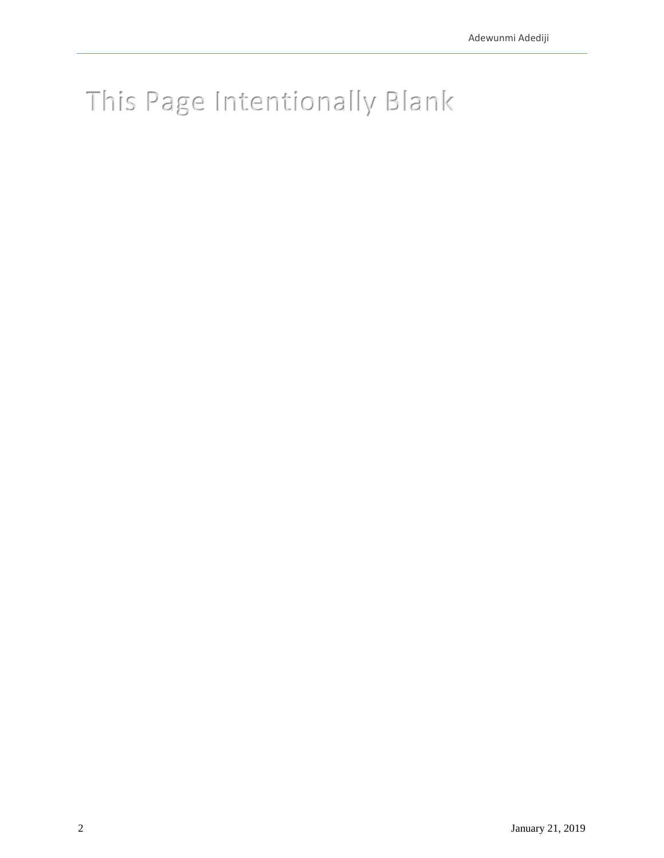# This Page Intentionally Blank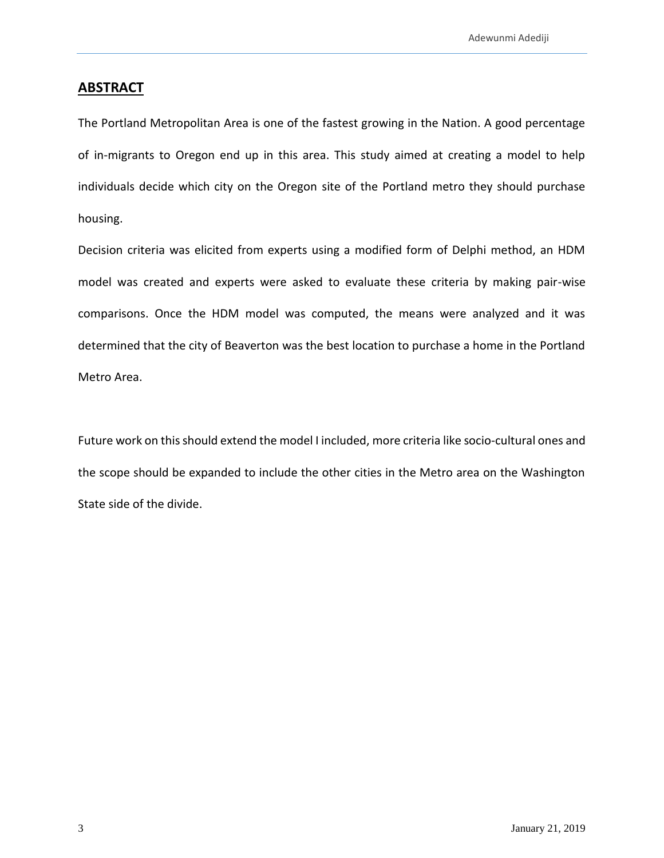# **ABSTRACT**

The Portland Metropolitan Area is one of the fastest growing in the Nation. A good percentage of in-migrants to Oregon end up in this area. This study aimed at creating a model to help individuals decide which city on the Oregon site of the Portland metro they should purchase housing.

Decision criteria was elicited from experts using a modified form of Delphi method, an HDM model was created and experts were asked to evaluate these criteria by making pair-wise comparisons. Once the HDM model was computed, the means were analyzed and it was determined that the city of Beaverton was the best location to purchase a home in the Portland Metro Area.

Future work on this should extend the model I included, more criteria like socio-cultural ones and the scope should be expanded to include the other cities in the Metro area on the Washington State side of the divide.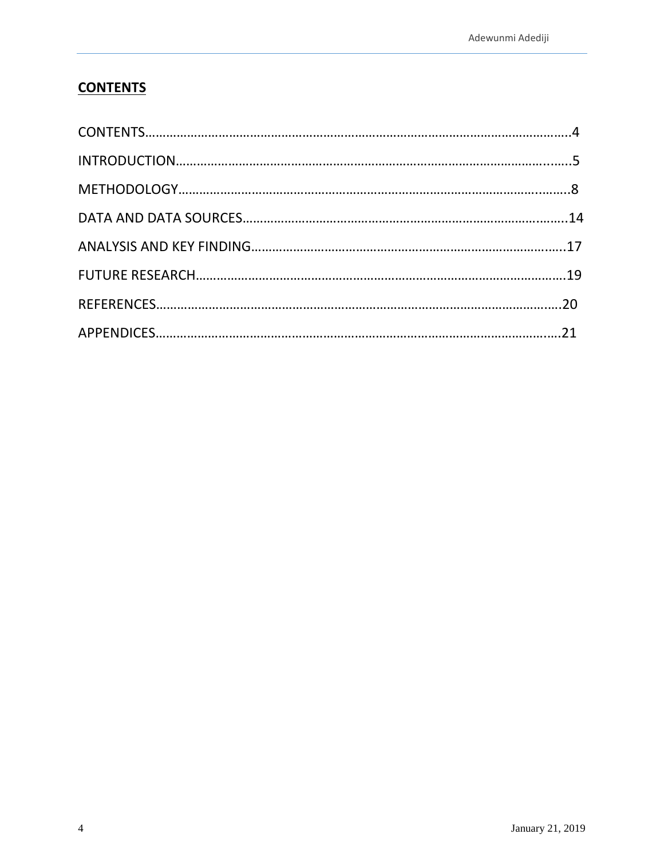# **CONTENTS**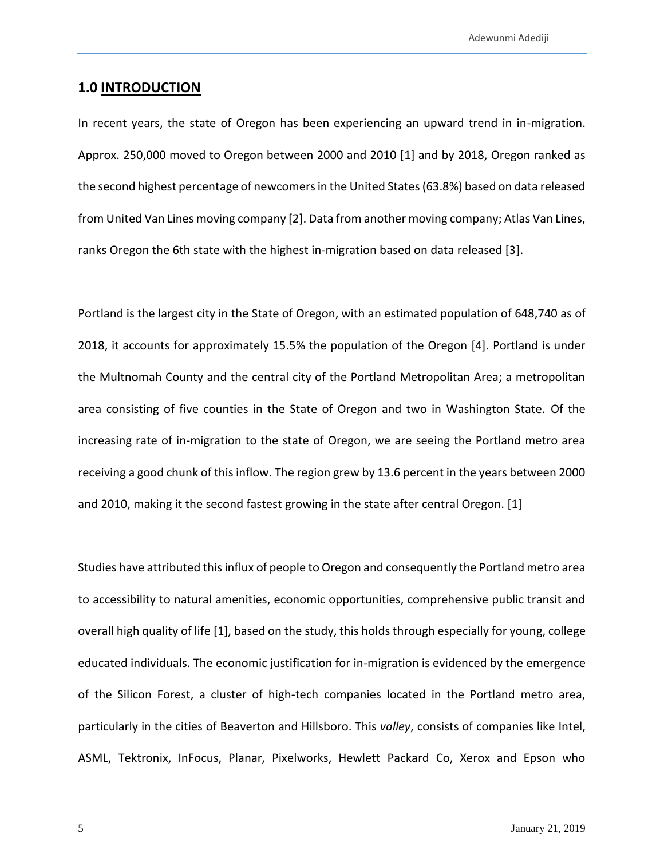## **1.0 INTRODUCTION**

In recent years, the state of Oregon has been experiencing an upward trend in in-migration. Approx. 250,000 moved to Oregon between 2000 and 2010 [1] and by 2018, Oregon ranked as the second highest percentage of newcomers in the United States (63.8%) based on data released from United Van Lines moving company [2]. Data from another moving company; Atlas Van Lines, ranks Oregon the 6th state with the highest in-migration based on data released [3].

Portland is the largest city in the State of Oregon, with an estimated population of 648,740 as of 2018, it accounts for approximately 15.5% the population of the Oregon [4]. Portland is under the Multnomah County and the central city of the Portland Metropolitan Area; a metropolitan area consisting of five counties in the State of Oregon and two in Washington State. Of the increasing rate of in-migration to the state of Oregon, we are seeing the Portland metro area receiving a good chunk of this inflow. The region grew by 13.6 percent in the years between 2000 and 2010, making it the second fastest growing in the state after central Oregon. [1]

Studies have attributed this influx of people to Oregon and consequently the Portland metro area to accessibility to natural amenities, economic opportunities, comprehensive public transit and overall high quality of life [1], based on the study, this holds through especially for young, college educated individuals. The economic justification for in-migration is evidenced by the emergence of the Silicon Forest, a cluster of high-tech companies located in the Portland metro area, particularly in the cities of Beaverton and Hillsboro. This *valley*, consists of companies like Intel, ASML, Tektronix, InFocus, Planar, Pixelworks, Hewlett Packard Co, Xerox and Epson who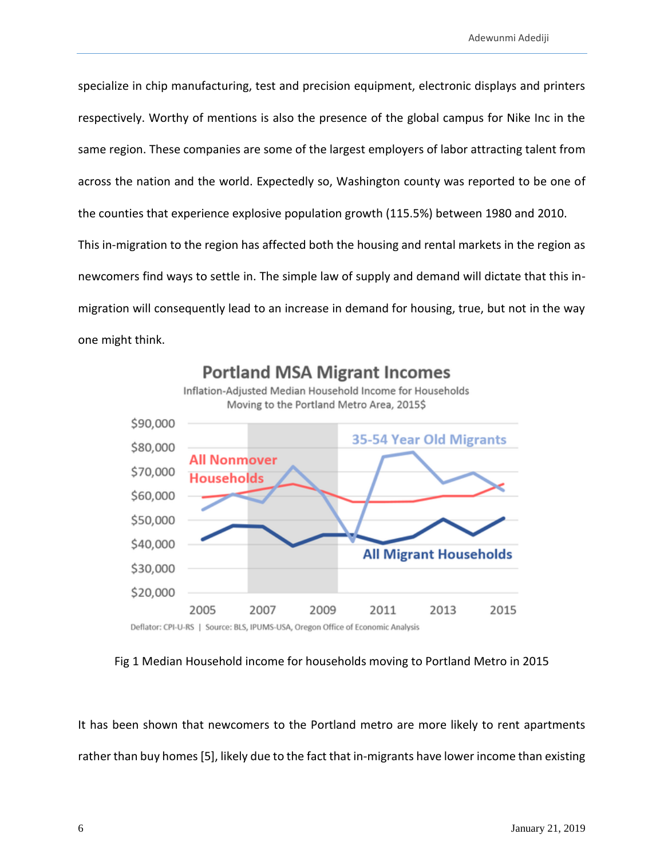specialize in chip manufacturing, test and precision equipment, electronic displays and printers respectively. Worthy of mentions is also the presence of the global campus for Nike Inc in the same region. These companies are some of the largest employers of labor attracting talent from across the nation and the world. Expectedly so, Washington county was reported to be one of the counties that experience explosive population growth (115.5%) between 1980 and 2010. This in-migration to the region has affected both the housing and rental markets in the region as newcomers find ways to settle in. The simple law of supply and demand will dictate that this inmigration will consequently lead to an increase in demand for housing, true, but not in the way one might think.



**Portland MSA Migrant Incomes** 

Fig 1 Median Household income for households moving to Portland Metro in 2015

It has been shown that newcomers to the Portland metro are more likely to rent apartments rather than buy homes [5], likely due to the fact that in-migrants have lower income than existing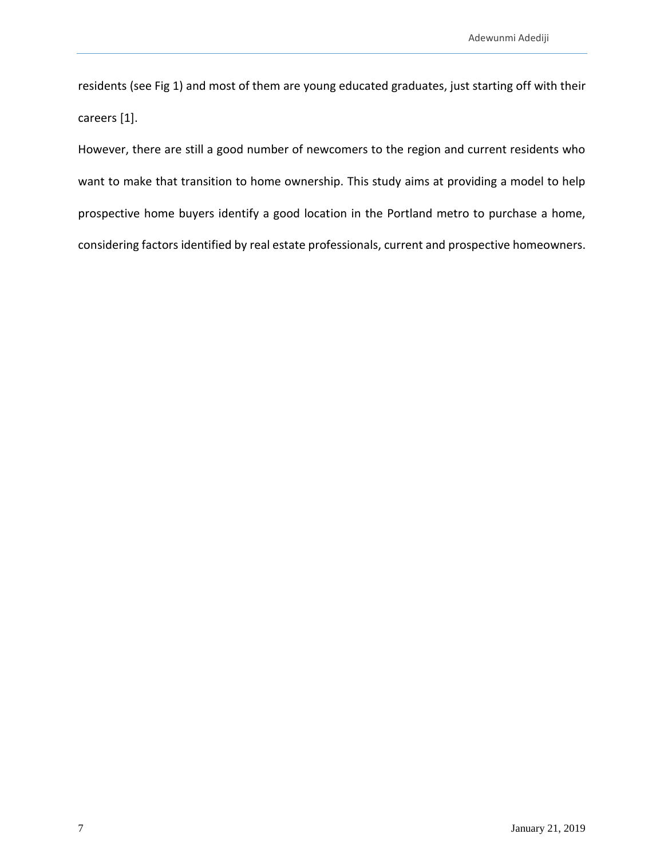residents (see Fig 1) and most of them are young educated graduates, just starting off with their careers [1].

However, there are still a good number of newcomers to the region and current residents who want to make that transition to home ownership. This study aims at providing a model to help prospective home buyers identify a good location in the Portland metro to purchase a home, considering factors identified by real estate professionals, current and prospective homeowners.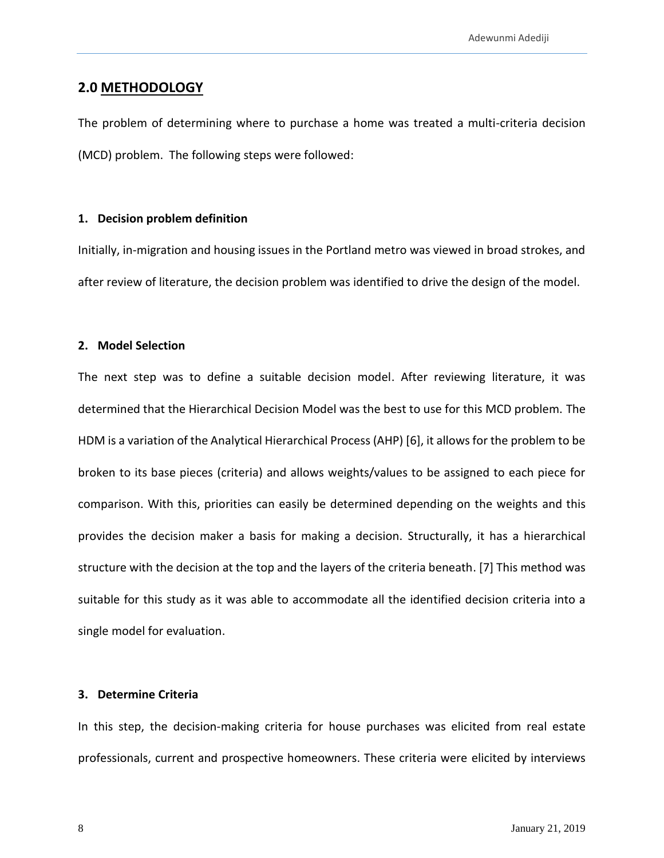# **2.0 METHODOLOGY**

The problem of determining where to purchase a home was treated a multi-criteria decision (MCD) problem. The following steps were followed:

#### **1. Decision problem definition**

Initially, in-migration and housing issues in the Portland metro was viewed in broad strokes, and after review of literature, the decision problem was identified to drive the design of the model.

## **2. Model Selection**

The next step was to define a suitable decision model. After reviewing literature, it was determined that the Hierarchical Decision Model was the best to use for this MCD problem. The HDM is a variation of the Analytical Hierarchical Process (AHP) [6], it allows for the problem to be broken to its base pieces (criteria) and allows weights/values to be assigned to each piece for comparison. With this, priorities can easily be determined depending on the weights and this provides the decision maker a basis for making a decision. Structurally, it has a hierarchical structure with the decision at the top and the layers of the criteria beneath. [7] This method was suitable for this study as it was able to accommodate all the identified decision criteria into a single model for evaluation.

#### **3. Determine Criteria**

In this step, the decision-making criteria for house purchases was elicited from real estate professionals, current and prospective homeowners. These criteria were elicited by interviews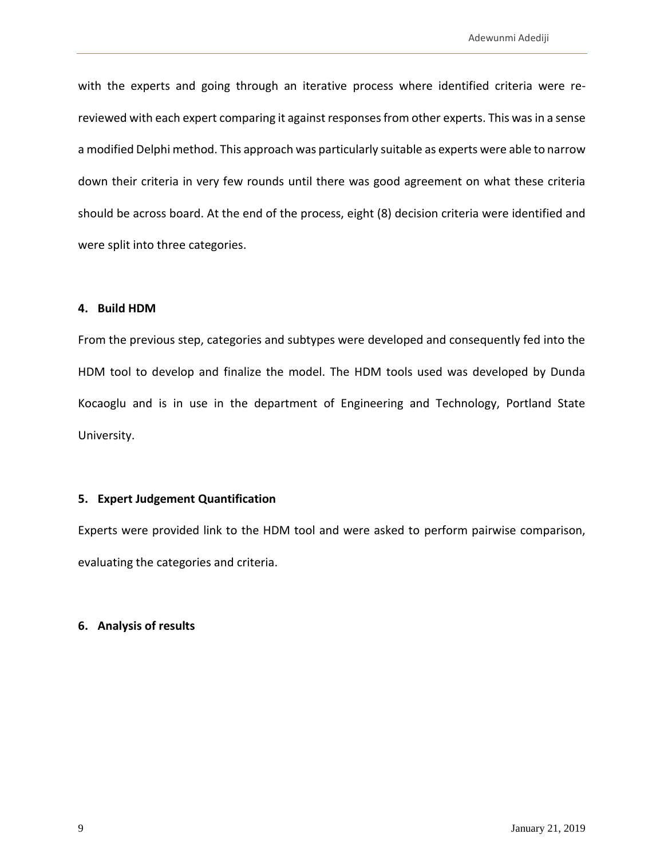with the experts and going through an iterative process where identified criteria were rereviewed with each expert comparing it against responses from other experts. This was in a sense a modified Delphi method. This approach was particularly suitable as experts were able to narrow down their criteria in very few rounds until there was good agreement on what these criteria should be across board. At the end of the process, eight (8) decision criteria were identified and were split into three categories.

#### **4. Build HDM**

From the previous step, categories and subtypes were developed and consequently fed into the HDM tool to develop and finalize the model. The HDM tools used was developed by Dunda Kocaoglu and is in use in the department of Engineering and Technology, Portland State University.

#### **5. Expert Judgement Quantification**

Experts were provided link to the HDM tool and were asked to perform pairwise comparison, evaluating the categories and criteria.

#### **6. Analysis of results**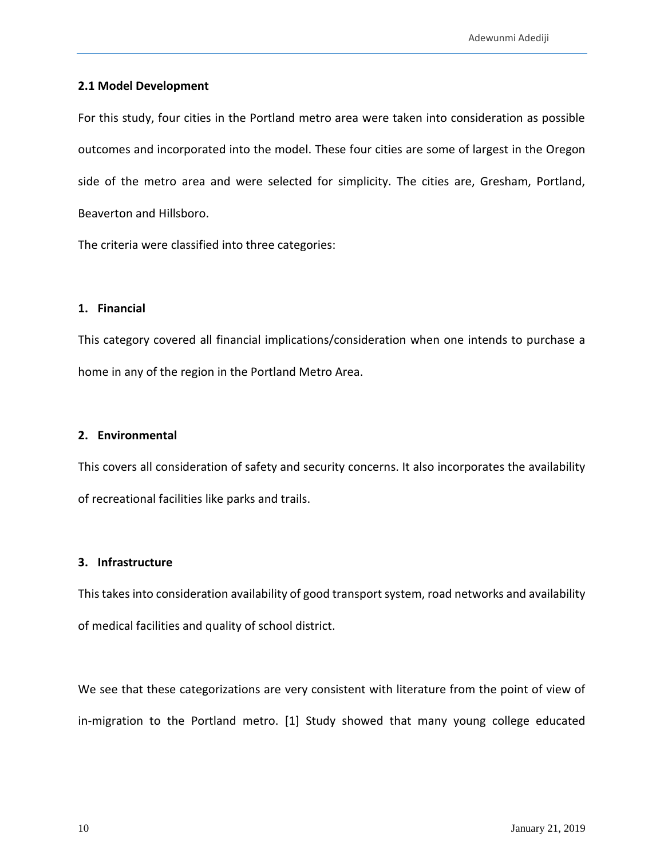## **2.1 Model Development**

For this study, four cities in the Portland metro area were taken into consideration as possible outcomes and incorporated into the model. These four cities are some of largest in the Oregon side of the metro area and were selected for simplicity. The cities are, Gresham, Portland, Beaverton and Hillsboro.

The criteria were classified into three categories:

## **1. Financial**

This category covered all financial implications/consideration when one intends to purchase a home in any of the region in the Portland Metro Area.

## **2. Environmental**

This covers all consideration of safety and security concerns. It also incorporates the availability of recreational facilities like parks and trails.

## **3. Infrastructure**

This takes into consideration availability of good transport system, road networks and availability of medical facilities and quality of school district.

We see that these categorizations are very consistent with literature from the point of view of in-migration to the Portland metro. [1] Study showed that many young college educated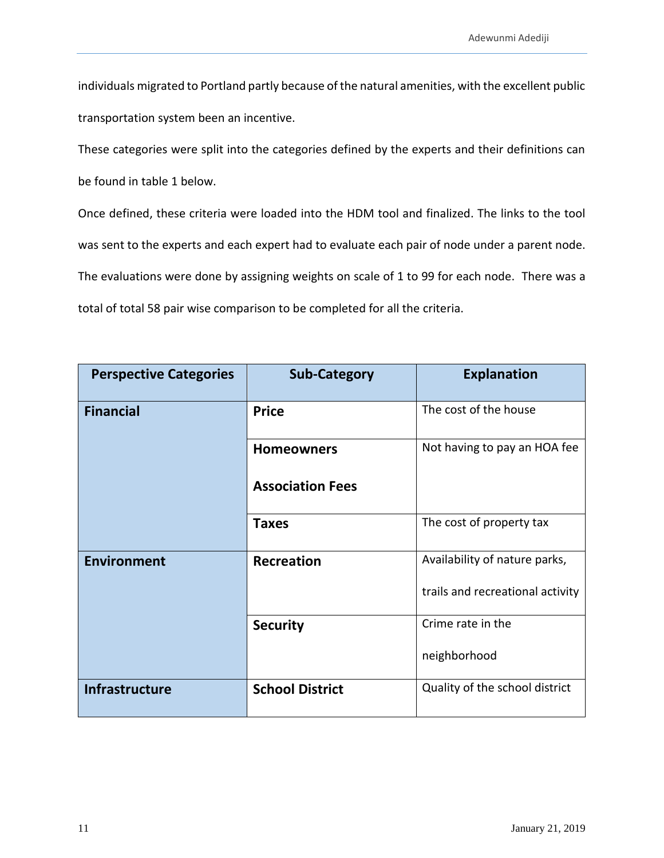individuals migrated to Portland partly because of the natural amenities, with the excellent public transportation system been an incentive.

These categories were split into the categories defined by the experts and their definitions can be found in table 1 below.

Once defined, these criteria were loaded into the HDM tool and finalized. The links to the tool was sent to the experts and each expert had to evaluate each pair of node under a parent node. The evaluations were done by assigning weights on scale of 1 to 99 for each node. There was a total of total 58 pair wise comparison to be completed for all the criteria.

| <b>Perspective Categories</b> | <b>Sub-Category</b>     | <b>Explanation</b>               |
|-------------------------------|-------------------------|----------------------------------|
| <b>Financial</b>              | <b>Price</b>            | The cost of the house            |
|                               | <b>Homeowners</b>       | Not having to pay an HOA fee     |
|                               | <b>Association Fees</b> |                                  |
|                               | <b>Taxes</b>            | The cost of property tax         |
| <b>Environment</b>            | <b>Recreation</b>       | Availability of nature parks,    |
|                               |                         | trails and recreational activity |
|                               | <b>Security</b>         | Crime rate in the                |
|                               |                         | neighborhood                     |
| <b>Infrastructure</b>         | <b>School District</b>  | Quality of the school district   |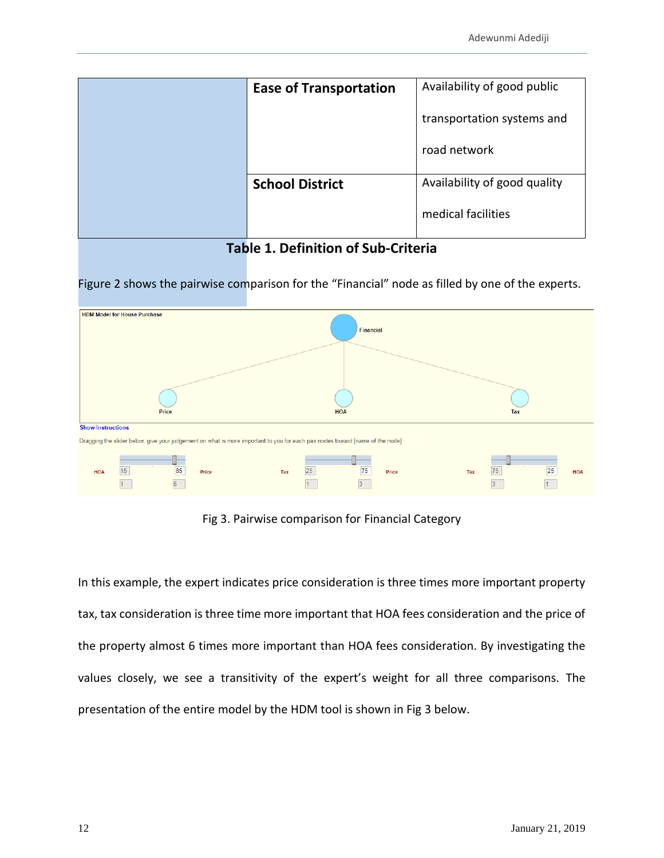| <b>Ease of Transportation</b> | Availability of good public  |
|-------------------------------|------------------------------|
|                               | transportation systems and   |
|                               | road network                 |
| <b>School District</b>        | Availability of good quality |
|                               | medical facilities           |

# **Table 1. Definition of Sub-Criteria**

Figure 2 shows the pairwise comparison for the "Financial" node as filled by one of the experts.



Fig 3. Pairwise comparison for Financial Category

In this example, the expert indicates price consideration is three times more important property tax, tax consideration is three time more important that HOA fees consideration and the price of the property almost 6 times more important than HOA fees consideration. By investigating the values closely, we see a transitivity of the expert's weight for all three comparisons. The presentation of the entire model by the HDM tool is shown in Fig 3 below.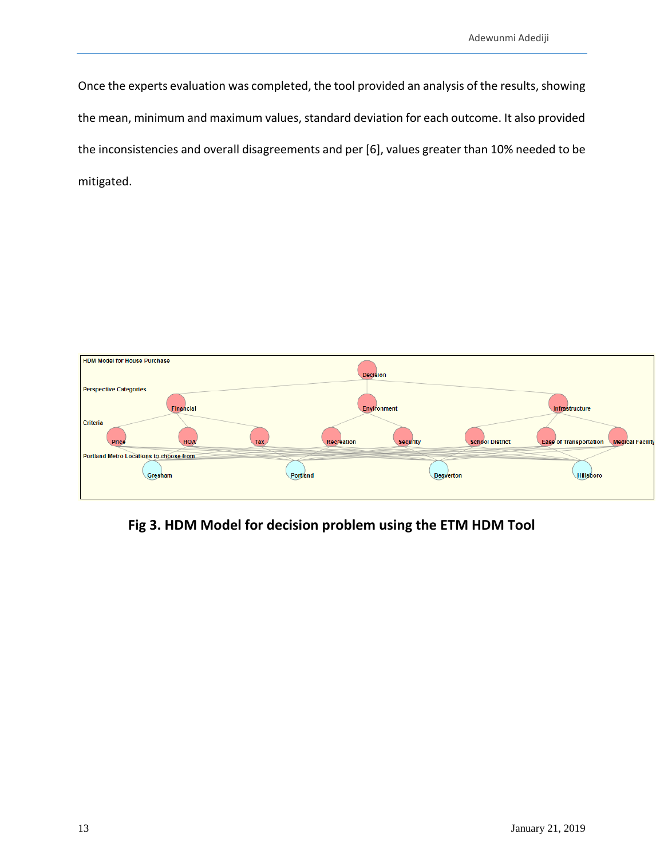Once the experts evaluation was completed, the tool provided an analysis of the results, showing the mean, minimum and maximum values, standard deviation for each outcome. It also provided the inconsistencies and overall disagreements and per [6], values greater than 10% needed to be mitigated.



**Fig 3. HDM Model for decision problem using the ETM HDM Tool**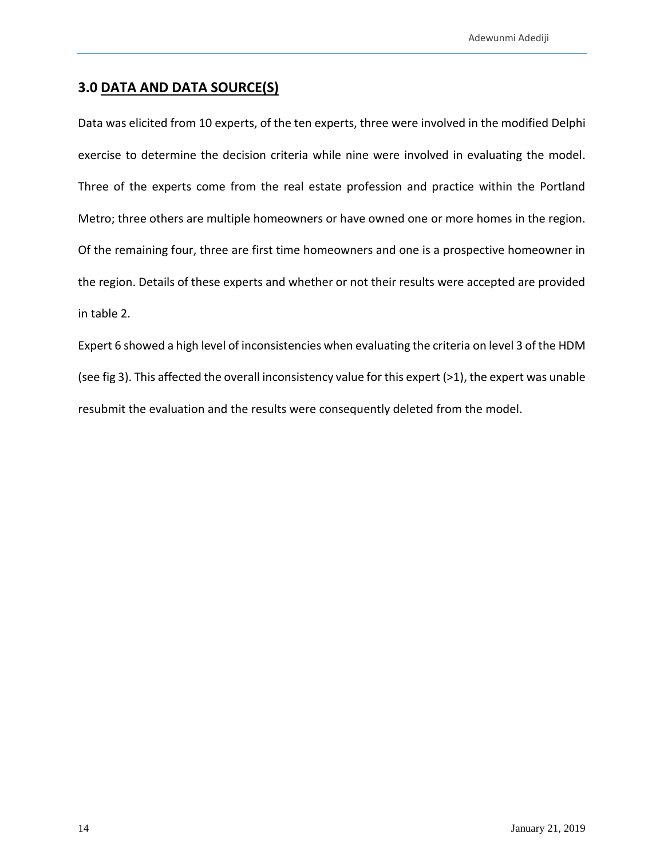# **3.0 DATA AND DATA SOURCE(S)**

Data was elicited from 10 experts, of the ten experts, three were involved in the modified Delphi exercise to determine the decision criteria while nine were involved in evaluating the model. Three of the experts come from the real estate profession and practice within the Portland Metro; three others are multiple homeowners or have owned one or more homes in the region. Of the remaining four, three are first time homeowners and one is a prospective homeowner in the region. Details of these experts and whether or not their results were accepted are provided in table 2.

Expert 6 showed a high level of inconsistencies when evaluating the criteria on level 3 of the HDM (see fig 3). This affected the overall inconsistency value for this expert (>1), the expert was unable resubmit the evaluation and the results were consequently deleted from the model.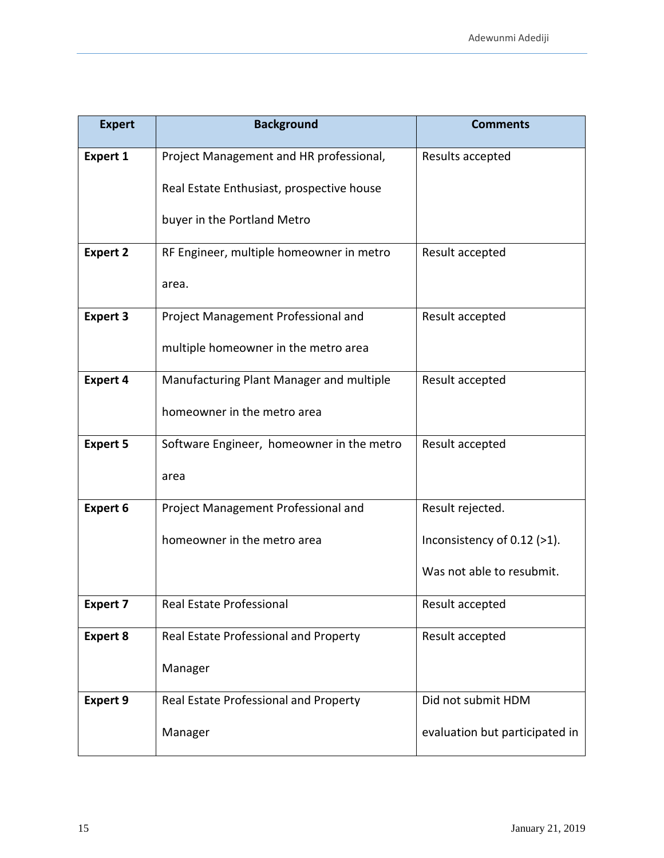| <b>Expert</b>   | <b>Background</b>                         | <b>Comments</b>                |
|-----------------|-------------------------------------------|--------------------------------|
| <b>Expert 1</b> | Project Management and HR professional,   | Results accepted               |
|                 | Real Estate Enthusiast, prospective house |                                |
|                 | buyer in the Portland Metro               |                                |
| <b>Expert 2</b> | RF Engineer, multiple homeowner in metro  | Result accepted                |
|                 | area.                                     |                                |
| <b>Expert 3</b> | Project Management Professional and       | Result accepted                |
|                 | multiple homeowner in the metro area      |                                |
| <b>Expert 4</b> | Manufacturing Plant Manager and multiple  | Result accepted                |
|                 | homeowner in the metro area               |                                |
| <b>Expert 5</b> | Software Engineer, homeowner in the metro | Result accepted                |
|                 | area                                      |                                |
| <b>Expert 6</b> | Project Management Professional and       | Result rejected.               |
|                 | homeowner in the metro area               | Inconsistency of 0.12 (>1).    |
|                 |                                           | Was not able to resubmit.      |
| Expert 7        | Real Estate Professional                  | Result accepted                |
| <b>Expert 8</b> | Real Estate Professional and Property     | Result accepted                |
|                 | Manager                                   |                                |
| <b>Expert 9</b> | Real Estate Professional and Property     | Did not submit HDM             |
|                 | Manager                                   | evaluation but participated in |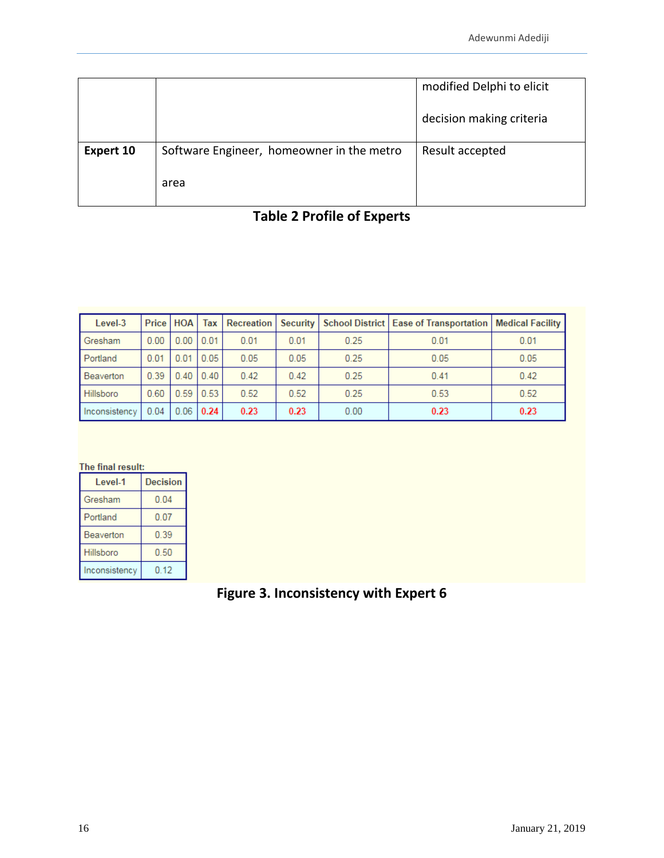|           |                                           | modified Delphi to elicit |
|-----------|-------------------------------------------|---------------------------|
|           |                                           | decision making criteria  |
| Expert 10 | Software Engineer, homeowner in the metro | Result accepted           |
|           | area                                      |                           |

# **Table 2 Profile of Experts**

| Level-3       |      | Price   HOA |      |      |      |      | Tax   Recreation   Security   School District   Ease of Transportation   Medical Facility |      |
|---------------|------|-------------|------|------|------|------|-------------------------------------------------------------------------------------------|------|
| Gresham       | 0.00 | 0.00        | 0.01 | 0.01 | 0.01 | 0.25 | 0.01                                                                                      | 0.01 |
| Portland      | 0.01 | 0.01        | 0.05 | 0.05 | 0.05 | 0.25 | 0.05                                                                                      | 0.05 |
| Beaverton     | 0.39 | 0.40        | 0.40 | 0.42 | 0.42 | 0.25 | 0.41                                                                                      | 0.42 |
| Hillsboro     | 0.60 | 0.59        | 0.53 | 0.52 | 0.52 | 0.25 | 0.53                                                                                      | 0.52 |
| Inconsistency | 0.04 | 0.06        | 0.24 | 0.23 | 0.23 | 0.00 | 0.23                                                                                      | 0.23 |

#### The final result:

| Level-1       | <b>Decision</b> |
|---------------|-----------------|
| Gresham       | 0.04            |
| Portland      | 0.07            |
| Beaverton     | 0.39            |
| Hillsboro     | 0.50            |
| Inconsistency | 0.12            |

# **Figure 3. Inconsistency with Expert 6**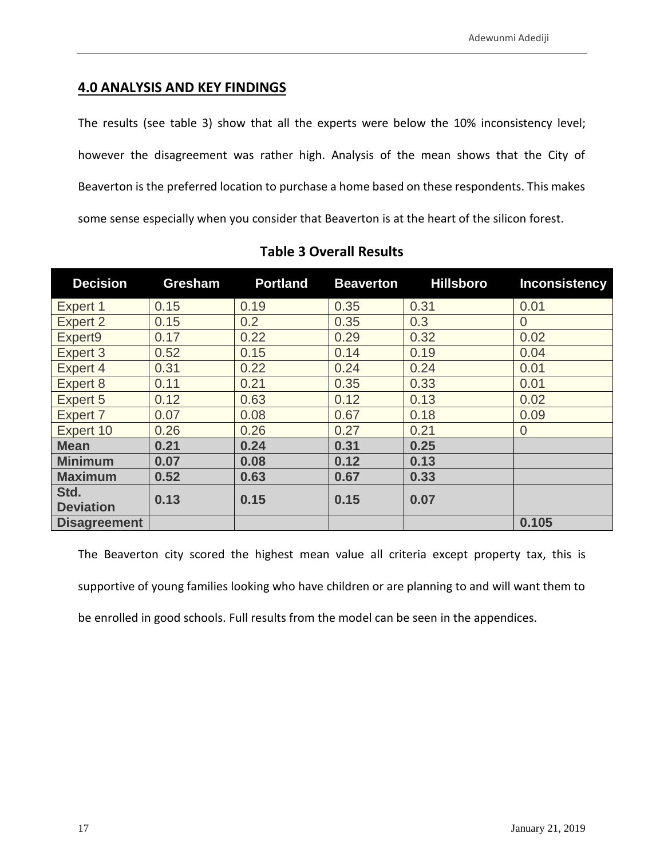# **4.0 ANALYSIS AND KEY FINDINGS**

The results (see table 3) show that all the experts were below the 10% inconsistency level; however the disagreement was rather high. Analysis of the mean shows that the City of Beaverton is the preferred location to purchase a home based on these respondents. This makes some sense especially when you consider that Beaverton is at the heart of the silicon forest.

| <b>Decision</b>          | Gresham | <b>Portland</b> | <b>Beaverton</b> | <b>Hillsboro</b> | <b>Inconsistency</b> |
|--------------------------|---------|-----------------|------------------|------------------|----------------------|
| Expert 1                 | 0.15    | 0.19            | 0.35             | 0.31             | 0.01                 |
| <b>Expert 2</b>          | 0.15    | 0.2             | 0.35             | 0.3              | $\overline{0}$       |
| Expert9                  | 0.17    | 0.22            | 0.29             | 0.32             | 0.02                 |
| Expert 3                 | 0.52    | 0.15            | 0.14             | 0.19             | 0.04                 |
| Expert 4                 | 0.31    | 0.22            | 0.24             | 0.24             | 0.01                 |
| Expert 8                 | 0.11    | 0.21            | 0.35             | 0.33             | 0.01                 |
| Expert 5                 | 0.12    | 0.63            | 0.12             | 0.13             | 0.02                 |
| <b>Expert 7</b>          | 0.07    | 0.08            | 0.67             | 0.18             | 0.09                 |
| Expert 10                | 0.26    | 0.26            | 0.27             | 0.21             | $\overline{0}$       |
| <b>Mean</b>              | 0.21    | 0.24            | 0.31             | 0.25             |                      |
| <b>Minimum</b>           | 0.07    | 0.08            | 0.12             | 0.13             |                      |
| <b>Maximum</b>           | 0.52    | 0.63            | 0.67             | 0.33             |                      |
| Std.<br><b>Deviation</b> | 0.13    | 0.15            | 0.15             | 0.07             |                      |
| <b>Disagreement</b>      |         |                 |                  |                  | 0.105                |

# **Table 3 Overall Results**

The Beaverton city scored the highest mean value all criteria except property tax, this is supportive of young families looking who have children or are planning to and will want them to

be enrolled in good schools. Full results from the model can be seen in the appendices.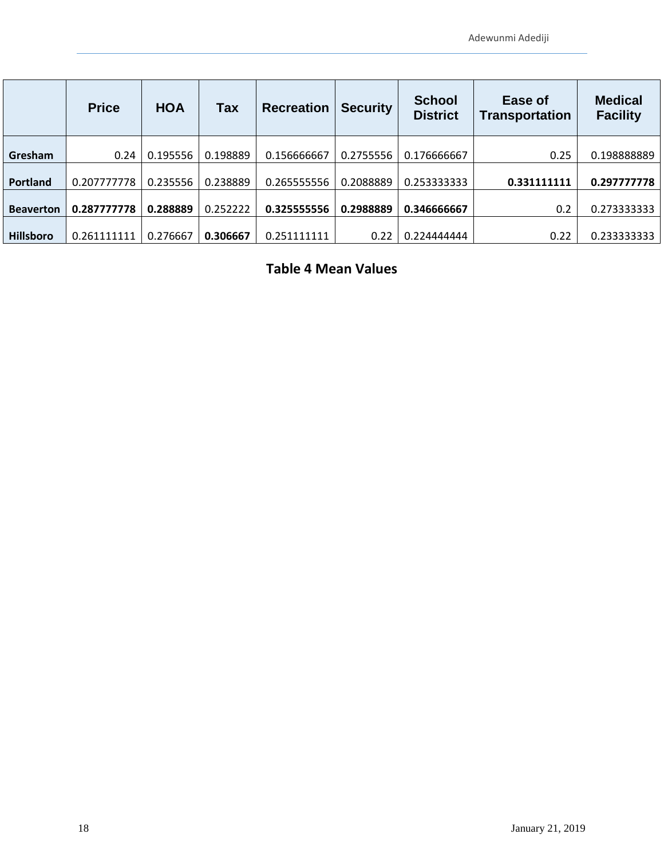|                  | <b>Price</b> | <b>HOA</b> | <b>Tax</b> | <b>Recreation</b> | <b>Security</b> | <b>School</b><br><b>District</b> | <b>Ease of</b><br><b>Transportation</b> | <b>Medical</b><br><b>Facility</b> |
|------------------|--------------|------------|------------|-------------------|-----------------|----------------------------------|-----------------------------------------|-----------------------------------|
|                  |              |            |            |                   |                 |                                  |                                         |                                   |
| Gresham          | 0.24         | 0.195556   | 0.198889   | 0.156666667       | 0.2755556       | 0.176666667                      | 0.25                                    | 0.198888889                       |
| <b>Portland</b>  | 0.207777778  | 0.235556   | 0.238889   | 0.265555556       | 0.2088889       | 0.253333333                      | 0.3311111111                            | 0.297777778                       |
| <b>Beaverton</b> | 0.287777778  | 0.288889   | 0.252222   | 0.325555556       | 0.2988889       | 0.346666667                      | 0.2                                     | 0.273333333                       |
| <b>Hillsboro</b> | 0.261111111  | 0.276667   | 0.306667   | 0.251111111       | 0.22            | 0.224444444                      | 0.22                                    | 0.233333333                       |

**Table 4 Mean Values**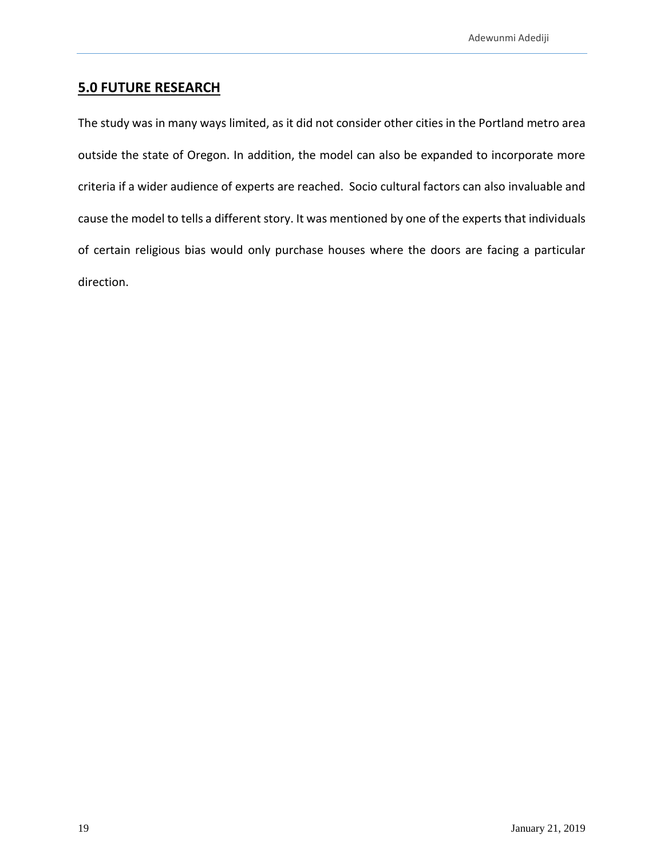# **5.0 FUTURE RESEARCH**

The study was in many ways limited, as it did not consider other cities in the Portland metro area outside the state of Oregon. In addition, the model can also be expanded to incorporate more criteria if a wider audience of experts are reached. Socio cultural factors can also invaluable and cause the model to tells a different story. It was mentioned by one of the experts that individuals of certain religious bias would only purchase houses where the doors are facing a particular direction.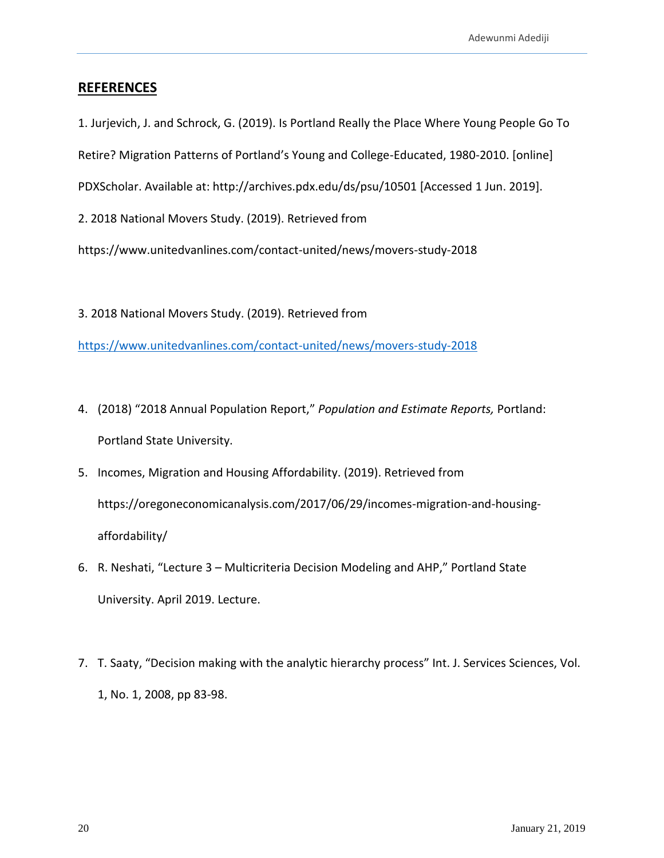# **REFERENCES**

1. Jurjevich, J. and Schrock, G. (2019). Is Portland Really the Place Where Young People Go To

Retire? Migration Patterns of Portland's Young and College-Educated, 1980-2010. [online]

PDXScholar. Available at: http://archives.pdx.edu/ds/psu/10501 [Accessed 1 Jun. 2019].

2. 2018 National Movers Study. (2019). Retrieved from

https://www.unitedvanlines.com/contact-united/news/movers-study-2018

3. 2018 National Movers Study. (2019). Retrieved from

<https://www.unitedvanlines.com/contact-united/news/movers-study-2018>

- 4. (2018) "2018 Annual Population Report," *Population and Estimate Reports,* Portland: Portland State University.
- 5. Incomes, Migration and Housing Affordability. (2019). Retrieved from https://oregoneconomicanalysis.com/2017/06/29/incomes-migration-and-housingaffordability/
- 6. R. Neshati, "Lecture 3 Multicriteria Decision Modeling and AHP," Portland State University. April 2019. Lecture.
- 7. T. Saaty, "Decision making with the analytic hierarchy process" Int. J. Services Sciences, Vol. 1, No. 1, 2008, pp 83-98.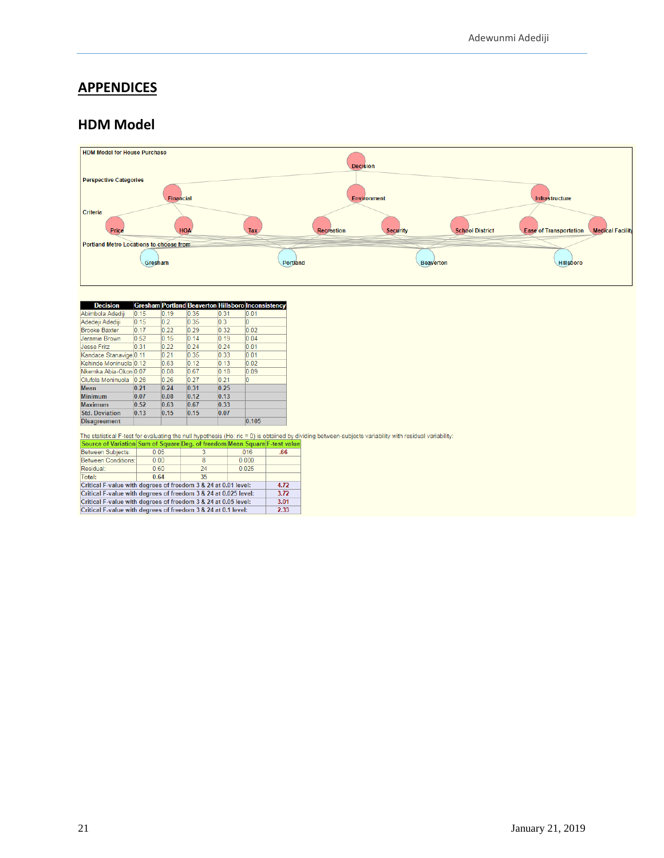# **APPENDICES**

# **HDM Model**



| Decision               |      |      |      |      | Gresnam Portland Deaverton Millsboro Inconsistency |
|------------------------|------|------|------|------|----------------------------------------------------|
| Abimbola Adediji       | 0.15 | 0.19 | 0.35 | 0.31 | 0.01                                               |
| Adedeji Adediji        | 0.15 | 0.2  | 0.35 | 0.3  | 0                                                  |
| <b>Brooke Baxter</b>   | 0.17 | 0.22 | 0.29 | 0.32 | 0.02                                               |
| Jeramie Brown          | 0.52 | 0.15 | 0.14 | 0.19 | 0.04                                               |
| <b>Jesse Fritz</b>     | 0.31 | 0.22 | 0.24 | 0.24 | 0.01                                               |
| Kandace Stanavige 0.11 |      | 0.21 | 0.35 | 0.33 | 0.01                                               |
| Kehinde Moninuola 0.12 |      | 0.63 | 0.12 | 0.13 | 0.02                                               |
| Nkemka Abia-Okon 0.07  |      | 0.08 | 0.67 | 0.18 | 0.09                                               |
| Olufola Moninuola      | 0.26 | 0.26 | 0.27 | 0.21 | 0                                                  |
| <b>Mean</b>            | 0.21 | 0.24 | 0.31 | 0.25 |                                                    |
| <b>Minimum</b>         | 0.07 | 0.08 | 0.12 | 0.13 |                                                    |
| <b>Maximum</b>         | 0.52 | 0.63 | 0.67 | 0.33 |                                                    |
| <b>Std. Deviation</b>  | 0.13 | 0.15 | 0.15 | 0.07 |                                                    |
| <b>Disagreement</b>    |      |      |      |      | 0.105                                              |
|                        |      |      |      |      |                                                    |

The statistical F-test for evaluating the null hypothesis (Ho:  $ric = 0$ ) is obtained by dividing between-subjects variability with residual variability:

| Source of Variation Sum of Square Deg. of freedom Mean Square F-test value |           |    |       |      |  |  |  |
|----------------------------------------------------------------------------|-----------|----|-------|------|--|--|--|
| Between Subjects:                                                          | 0.05      |    | .016  | .66  |  |  |  |
| Between Conditions:                                                        | 0.00<br>8 |    | 0.000 |      |  |  |  |
| Residual:                                                                  | 0.60      | 24 | 0.025 |      |  |  |  |
| Total:                                                                     | 0.64      | 35 |       |      |  |  |  |
| Critical F-value with degrees of freedom 3 & 24 at 0.01 level:<br>4.72     |           |    |       |      |  |  |  |
| Critical F-value with degrees of freedom 3 & 24 at 0.025 level:<br>3.72    |           |    |       |      |  |  |  |
| Critical F-value with degrees of freedom 3 & 24 at 0.05 level:<br>3.01     |           |    |       |      |  |  |  |
| Critical F-value with degrees of freedom 3 & 24 at 0.1 level:              |           |    |       | 2.33 |  |  |  |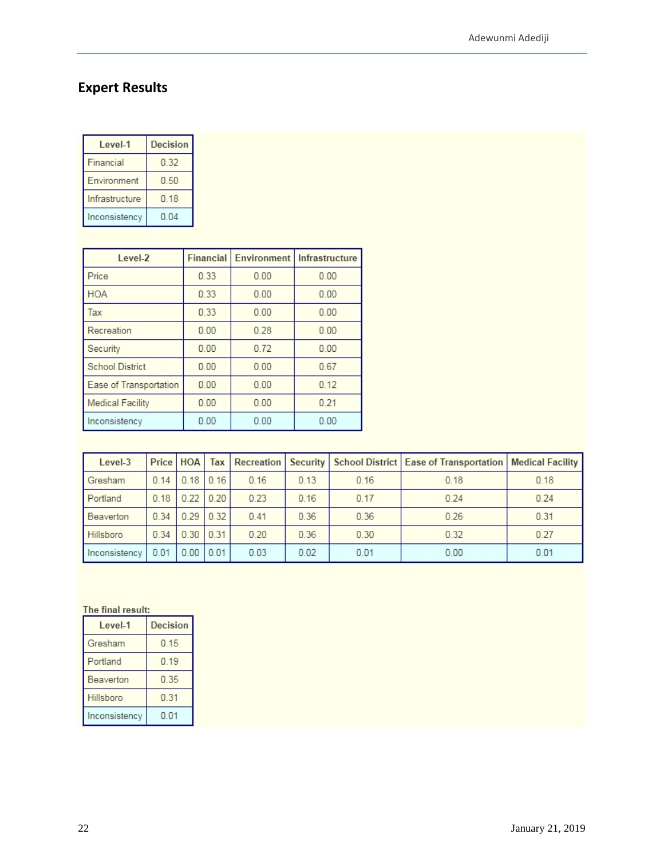# **Expert Results**

| Level-1        | Decision |
|----------------|----------|
| Financial      | 0.32     |
| Environment    | 0.50     |
| Infrastructure | 0.18     |
| Inconsistency  | 0.04     |

| Level-2                 | <b>Financial</b> | <b>Environment</b> | Infrastructure |
|-------------------------|------------------|--------------------|----------------|
| Price                   | 0.33             | 0.00               | 0.00           |
| <b>HOA</b>              | 0.33             | 0.00               | 0.00           |
| Tax                     | 0.33             | 0.00               | 0.00           |
| Recreation              | 0.00             | 0.28               | 0.00           |
| Security                | 0.00             | 0.72               | 0.00           |
| <b>School District</b>  | 0.00             | 0.00               | 0.67           |
| Ease of Transportation  | 0.00             | 0.00               | 0.12           |
| <b>Medical Facility</b> | 0.00             | 0.00               | 0.21           |
| Inconsistency           | 0.00             | 0.00               | 0.00           |

| Level-3       |      | Price   HOA              |      |      |      |      | Tax   Recreation   Security   School District   Ease of Transportation   Medical Facility |      |
|---------------|------|--------------------------|------|------|------|------|-------------------------------------------------------------------------------------------|------|
| Gresham       |      | $0.14$   $0.18$   $0.16$ |      | 0.16 | 0.13 | 0.16 | 0.18                                                                                      | 0.18 |
| Portland      | 0.18 | 0.22                     | 0.20 | 0.23 | 0.16 | 0.17 | 0.24                                                                                      | 0.24 |
| Beaverton     | 0.34 | $0.29$ 0.32              |      | 0.41 | 0.36 | 0.36 | 0.26                                                                                      | 0.31 |
| Hillsboro     | 0.34 | $0.30 \mid 0.31$         |      | 0.20 | 0.36 | 0.30 | 0.32                                                                                      | 0.27 |
| Inconsistency | 0.01 | 0.00                     | 0.01 | 0.03 | 0.02 | 0.01 | 0.00                                                                                      | 0.01 |

| Level-1       | Decision |
|---------------|----------|
| Gresham       | 0.15     |
| Portland      | 0.19     |
| Beaverton     | 0.35     |
| Hillsboro     | 0.31     |
| Inconsistency | 0.01     |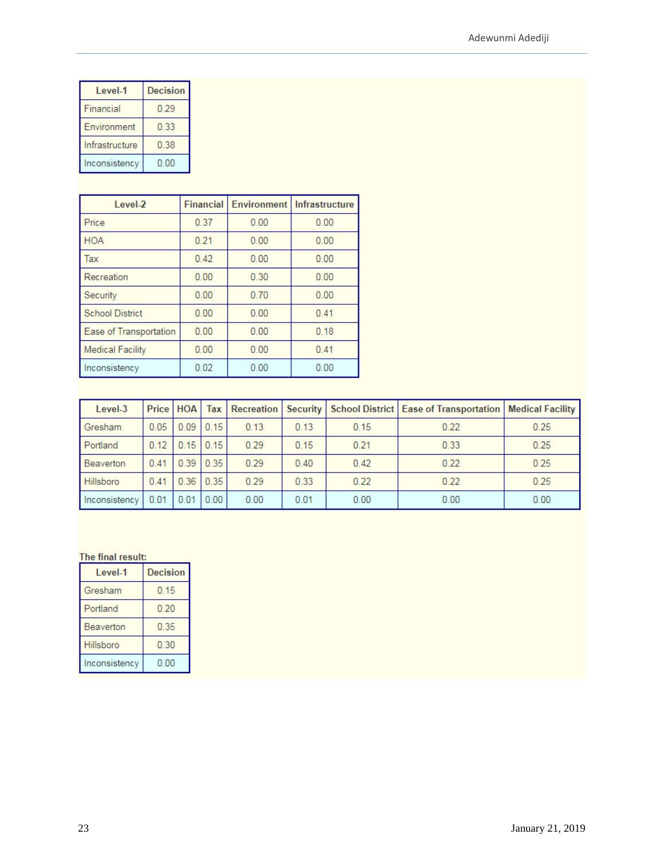| Level-1        | <b>Decision</b> |
|----------------|-----------------|
| Financial      | 0.29            |
| Environment    | 0.33            |
| Infrastructure | 0.38            |
| Inconsistency  | 0.OO            |

| Level-2                 | <b>Financial</b> | <b>Environment</b> | Infrastructure |
|-------------------------|------------------|--------------------|----------------|
| Price                   | 0.37             | 0.00               | 0.00           |
| <b>HOA</b>              | 0.21             | 0.00               | 0.00           |
| Tax                     | 0.42             | 0.00               | 0.00           |
| Recreation              | 0.00             | 0.30               | 0.00           |
| Security                | 0.00             | 0.70               | 0.00           |
| <b>School District</b>  | 0.00             | 0.00               | 0.41           |
| Ease of Transportation  | 0.00             | 0.00               | 0.18           |
| <b>Medical Facility</b> | 0.00             | 0.00               | 0.41           |
| Inconsistency           | 0.02             | 0.00               | 0.00           |

| Level-3       |      | Price   HOA          |             |      |      |      | Tax   Recreation   Security   School District   Ease of Transportation   Medical Facility |      |
|---------------|------|----------------------|-------------|------|------|------|-------------------------------------------------------------------------------------------|------|
| Gresham       | 0.05 | $0.09$ $0.15$        |             | 0.13 | 0.13 | 0.15 | 0.22                                                                                      | 0.25 |
| Portland      |      | $0.12$   0.15   0.15 |             | 0.29 | 0.15 | 0.21 | 0.33                                                                                      | 0.25 |
| Beaverton     | 0.41 |                      | $0.39$ 0.35 | 0.29 | 0.40 | 0.42 | 0.22                                                                                      | 0.25 |
| Hillsboro     | 0.41 | 0.36                 | 0.35        | 0.29 | 0.33 | 0.22 | 0.22                                                                                      | 0.25 |
| Inconsistency | 0.01 | 0.01                 | 0.00        | 0.00 | 0.01 | 0.00 | 0.00                                                                                      | 0.00 |

| Level-1       | <b>Decision</b> |
|---------------|-----------------|
| Gresham       | 0.15            |
| Portland      | 0.20            |
| Beaverton     | 0.35            |
| Hillsboro     | 0.30            |
| Inconsistency | 0 OO            |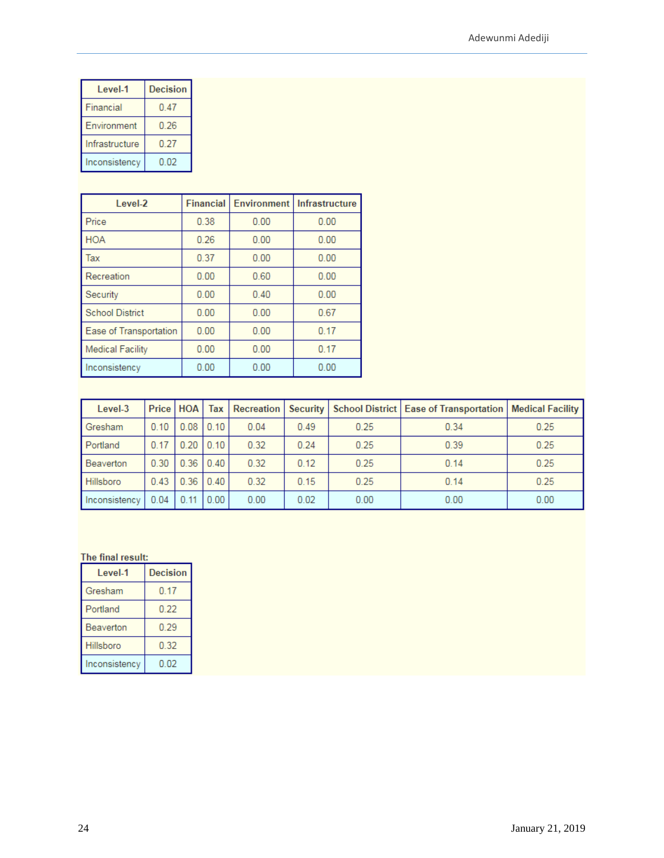| Level-1        | <b>Decision</b> |
|----------------|-----------------|
| Financial      | 0.47            |
| Environment    | 0.26            |
| Infrastructure | 0.27            |
| Inconsistency  | 0.02            |

| Level-2                 | <b>Financial</b> | <b>Environment</b> | Infrastructure |
|-------------------------|------------------|--------------------|----------------|
| Price                   | 0.38             | 0.00               | 0.00           |
| <b>HOA</b>              | 0.26             | 0.00               | 0.00           |
| Tax                     | 0.37             | 0.00               | 0.00           |
| Recreation              | 0.00             | 0.60               | 0.00           |
| Security                | 0.00             | 0.40               | 0.00           |
| <b>School District</b>  | 0.00             | 0.00               | 0.67           |
| Ease of Transportation  | 0.00             | 0.00               | 0.17           |
| <b>Medical Facility</b> | 0.00             | 0.00               | 0.17           |
| Inconsistency           | 0.00             | 0.00               | 0.00           |

| Level-3       |      | Price   HOA |      |      |      |      | Tax   Recreation   Security   School District   Ease of Transportation   Medical Facility |      |
|---------------|------|-------------|------|------|------|------|-------------------------------------------------------------------------------------------|------|
| Gresham       | 0.10 | 0.08        | 0.10 | 0.04 | 0.49 | 0.25 | 0.34                                                                                      | 0.25 |
| Portland      | 0.17 | 0.20        | 0.10 | 0.32 | 0.24 | 0.25 | 0.39                                                                                      | 0.25 |
| Beaverton     | 0.30 | 0.36        | 0.40 | 0.32 | 0.12 | 0.25 | 0.14                                                                                      | 0.25 |
| Hillsboro     | 0.43 | 0.36        | 0.40 | 0.32 | 0.15 | 0.25 | 0.14                                                                                      | 0.25 |
| Inconsistency | 0.04 | 0.11        | 0.00 | 0.00 | 0.02 | 0.00 | 0.00                                                                                      | 0.00 |

| Level-1       | <b>Decision</b> |
|---------------|-----------------|
| Gresham       | 0.17            |
| Portland      | 0.22            |
| Beaverton     | 0.29            |
| Hillsboro     | 0.32            |
| Inconsistency | 0.02            |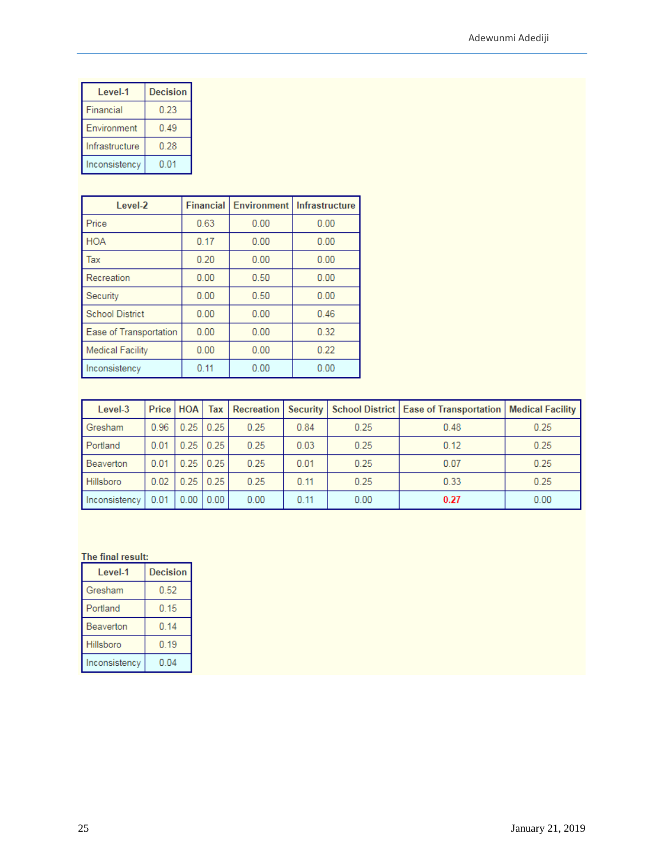| Level-1        | <b>Decision</b> |
|----------------|-----------------|
| Financial      | 0.23            |
| Environment    | 0.49            |
| Infrastructure | 0 28            |
| Inconsistency  | 0 O1            |

| Level-2                 | <b>Financial</b> | <b>Environment</b> | Infrastructure |
|-------------------------|------------------|--------------------|----------------|
| Price                   | 0.63             | 0.00               | 0.00           |
| <b>HOA</b>              | 0.17             | 0.00               | 0.00           |
| Tax                     | 0.20             | 0.00               | 0.00           |
| Recreation              | 0.00             | 0.50               | 0.00           |
| Security                | 0.00             | 0.50               | 0.00           |
| <b>School District</b>  | 0.00             | 0.00               | 0.46           |
| Ease of Transportation  | 0.00             | 0.00               | 0.32           |
| <b>Medical Facility</b> | 0.00             | 0.00               | 0.22           |
| Inconsistency           | 0.11             | 0.00               | 0.00           |

| Level-3       | Price | HOA  | Tax I |      |      |      | Recreation   Security   School District   Ease of Transportation   Medical Facility |      |
|---------------|-------|------|-------|------|------|------|-------------------------------------------------------------------------------------|------|
| Gresham       | 0.96  | 0.25 | 0.25  | 0.25 | 0.84 | 0.25 | 0.48                                                                                | 0.25 |
| Portland      | 0.01  | 0.25 | 0.25  | 0.25 | 0.03 | 0.25 | 0.12                                                                                | 0.25 |
| Beaverton     | 0.01  | 0.25 | 0.25  | 0.25 | 0.01 | 0.25 | 0.07                                                                                | 0.25 |
| Hillsboro     | 0.02  | 0.25 | 0.25  | 0.25 | 0.11 | 0.25 | 0.33                                                                                | 0.25 |
| Inconsistency | 0.01  | 0.00 | 0.00  | 0.00 | 0.11 | 0.00 | 0.27                                                                                | 0.00 |

| Level-1       | <b>Decision</b> |
|---------------|-----------------|
| Gresham       | 0.52            |
| Portland      | 0.15            |
| Beaverton     | 0.14            |
| Hillsboro     | 0.19            |
| Inconsistency | 0.04            |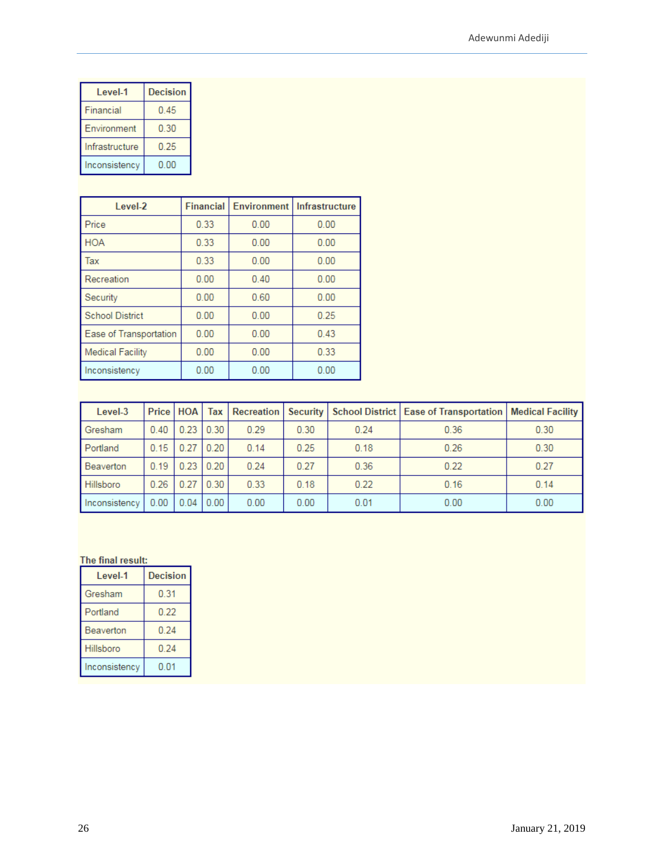| Level-1        | <b>Decision</b> |
|----------------|-----------------|
| Financial      | 0.45            |
| Environment    | 0.30            |
| Infrastructure | 0.25            |
| Inconsistency  | 0 OO            |

| Level-2                 | <b>Financial</b> | <b>Environment</b> | Infrastructure |
|-------------------------|------------------|--------------------|----------------|
| Price                   | 0.33             | 0.00               | 0.00           |
| <b>HOA</b>              | 0.33             | 0.00               | 0.00           |
| Tax                     | 0.33             | 0.00               | 0.00           |
| Recreation              | 0.00             | 0.40               | 0.00           |
| Security                | 0.00             | 0.60               | 0.00           |
| <b>School District</b>  | 0.00             | 0.00               | 0.25           |
| Ease of Transportation  | 0.00             | 0.00               | 0.43           |
| <b>Medical Facility</b> | 0.00             | 0.00               | 0.33           |
| Inconsistency           | 0.00             | 0.00               | 0.00           |

| Level-3          |        |                          |                  |      |      |      | Price   HOA   Tax   Recreation   Security   School District   Ease of Transportation   Medical Facility |      |
|------------------|--------|--------------------------|------------------|------|------|------|---------------------------------------------------------------------------------------------------------|------|
| Gresham          | $0.40$ |                          | $0.23 \mid 0.30$ | 0.29 | 0.30 | 0.24 | 0.36                                                                                                    | 0.30 |
| Portland         |        | $0.15$   $0.27$   $0.20$ |                  | 0.14 | 0.25 | 0.18 | 0.26                                                                                                    | 0.30 |
| Beaverton        | 0.19   | $0.23$ $0.20$            |                  | 0.24 | 0.27 | 0.36 | 0.22                                                                                                    | 0.27 |
| <b>Hillsboro</b> | 0.26   | 0.27                     | 0.30             | 0.33 | 0.18 | 0.22 | 0.16                                                                                                    | 0.14 |
| Inconsistency    | 0.00   | 0.04                     | 0.00             | 0.00 | 0.00 | 0.01 | 0.00                                                                                                    | 0.00 |

| Level-1       | <b>Decision</b> |
|---------------|-----------------|
| Gresham       | 0.31            |
| Portland      | 0.22            |
| Beaverton     | 0.24            |
| Hillsboro     | 0.24            |
| Inconsistency | 0.01            |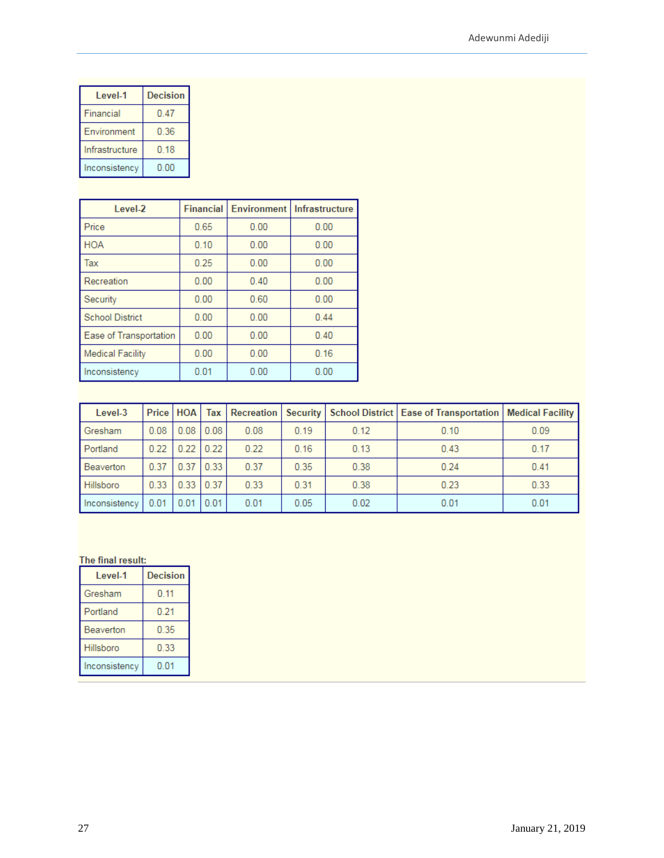| Level-1        | Decision |
|----------------|----------|
| Financial      | 0.47     |
| Environment    | 0.36     |
| Infrastructure | 0.18     |
| Inconsistency  | 0 OO     |

| Level-2                 | <b>Financial</b> | <b>Environment</b> | Infrastructure |
|-------------------------|------------------|--------------------|----------------|
| Price                   | 0.65             | 0.00               | 0.00           |
| <b>HOA</b>              | 0.10             | 0.00               | 0.00           |
| Tax                     | 0.25             | 0.00               | 0.00           |
| Recreation              | 0.00             | 0.40               | 0.00           |
| Security                | 0.00             | 0.60               | 0.00           |
| <b>School District</b>  | 0.00             | 0.00               | 0.44           |
| Ease of Transportation  | 0.00             | 0.00               | 0.40           |
| <b>Medical Facility</b> | 0.00             | 0.00               | 0.16           |
| Inconsistency           | 0.01             | 0.00               | 0.00           |

| Level-3       |      |                    |      |      |      |      | Price   HOA   Tax   Recreation   Security   School District   Ease of Transportation   Medical Facility |      |
|---------------|------|--------------------|------|------|------|------|---------------------------------------------------------------------------------------------------------|------|
| Gresham       | 0.08 | 0.08               | 0.08 | 0.08 | 0.19 | 0.12 | 0.10                                                                                                    | 0.09 |
| Portland      | 0.22 | $\vert 0.22 \vert$ | 0.22 | 0.22 | 0.16 | 0.13 | 0.43                                                                                                    | 0.17 |
| Beaverton     | 0.37 | 0.37               | 0.33 | 0.37 | 0.35 | 0.38 | 0.24                                                                                                    | 0.41 |
| Hillsboro     | 0.33 | $\vert$ 0.33       | 0.37 | 0.33 | 0.31 | 0.38 | 0.23                                                                                                    | 0.33 |
| Inconsistency | 0.01 | 0.01               | 0.01 | 0.01 | 0.05 | 0.02 | 0.01                                                                                                    | 0.01 |

| Level-1       | Decision |
|---------------|----------|
| Gresham       | 0.11     |
| Portland      | 0.21     |
| Beaverton     | 0.35     |
| Hillsboro     | 0.33     |
| Inconsistency | 0.01     |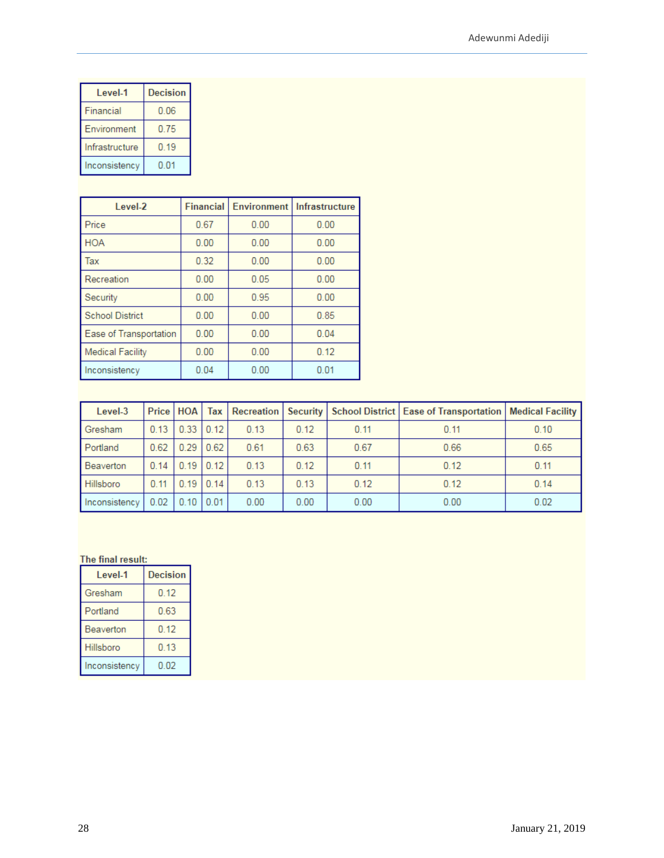| Level-1        | <b>Decision</b> |
|----------------|-----------------|
| Financial      | 0.06            |
| Environment    | 0.75            |
| Infrastructure | 0.19            |
| Inconsistency  | 0.01            |

| Level-2                 | <b>Financial</b> | <b>Environment</b> | Infrastructure |
|-------------------------|------------------|--------------------|----------------|
| Price                   | 0.67             | 0.00               | 0.00           |
| <b>HOA</b>              | 0.00             | 0.00               | 0.00           |
| Tax                     | 0.32             | 0.00               | 0.00           |
| Recreation              | 0.00             | 0.05               | 0.00           |
| Security                | 0.00             | 0.95               | 0.00           |
| <b>School District</b>  | 0.00             | 0.00               | 0.85           |
| Ease of Transportation  | 0.00             | 0.00               | 0.04           |
| <b>Medical Facility</b> | 0.00             | 0.00               | 0.12           |
| Inconsistency           | 0.04             | 0.00               | 0.01           |

| Level-3       |      |                  |             |      |      |      | Price   HOA   Tax   Recreation   Security   School District   Ease of Transportation   Medical Facility |      |
|---------------|------|------------------|-------------|------|------|------|---------------------------------------------------------------------------------------------------------|------|
| Gresham       | 0.13 | $0.33 \mid 0.12$ |             | 0.13 | 0.12 | 0.11 | 0.11                                                                                                    | 0.10 |
| Portland      | 0.62 | 0.29             | 0.62        | 0.61 | 0.63 | 0.67 | 0.66                                                                                                    | 0.65 |
| Beaverton     | 0.14 | 0.19             | 0.12        | 0.13 | 0.12 | 0.11 | 0.12                                                                                                    | 0.11 |
| Hillsboro     | 0.11 |                  | $0.19$ 0.14 | 0.13 | 0.13 | 0.12 | 0.12                                                                                                    | 0.14 |
| Inconsistency | 0.02 | 0.10             | 0.01        | 0.00 | 0.00 | 0.00 | 0.00                                                                                                    | 0.02 |

| Level-1       | <b>Decision</b> |
|---------------|-----------------|
| Gresham       | 0.12            |
| Portland      | 0.63            |
| Beaverton     | 0.12            |
| Hillsboro     | 0.13            |
| Inconsistency | 0.02            |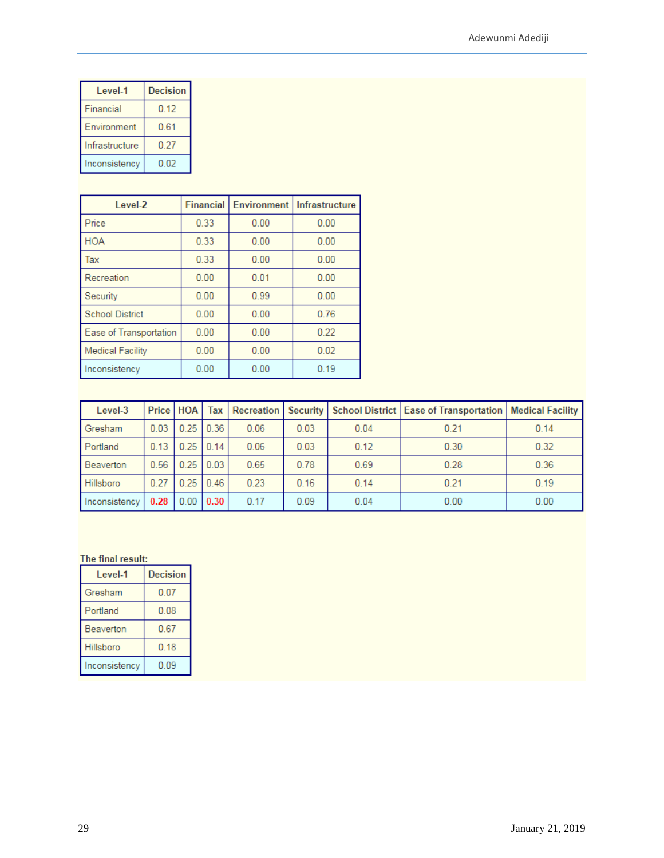| Level-1        | <b>Decision</b> |
|----------------|-----------------|
| Financial      | 0.12            |
| Environment    | 0.61            |
| Infrastructure | 0.27            |
| Inconsistency  | 0.02            |

| Level-2                 | <b>Financial</b> | <b>Environment</b> | Infrastructure |
|-------------------------|------------------|--------------------|----------------|
| Price                   | 0.33             | 0.00               | 0.00           |
| <b>HOA</b>              | 0.33             | 0.00               | 0.00           |
| Tax                     | 0.33             | 0.00               | 0.00           |
| Recreation              | 0.00             | 0.01               | 0.00           |
| Security                | 0.00             | 0.99               | 0.00           |
| <b>School District</b>  | 0.00             | 0.00               | 0.76           |
| Ease of Transportation  | 0.00             | 0.00               | 0.22           |
| <b>Medical Facility</b> | 0.00             | 0.00               | 0.02           |
| Inconsistency           | 0.00             | 0.00               | 0.19           |

| Level-3       |      | Price   HOA |                  |      |      |      | Tax   Recreation   Security   School District   Ease of Transportation   Medical Facility |      |
|---------------|------|-------------|------------------|------|------|------|-------------------------------------------------------------------------------------------|------|
| Gresham       | 0.03 |             | $0.25$ 0.36      | 0.06 | 0.03 | 0.04 | 0.21                                                                                      | 0.14 |
| Portland      | 0.13 |             | $0.25 \mid 0.14$ | 0.06 | 0.03 | 0.12 | 0.30                                                                                      | 0.32 |
| Beaverton     | 0.56 |             | $0.25 \mid 0.03$ | 0.65 | 0.78 | 0.69 | 0.28                                                                                      | 0.36 |
| Hillsboro     | 0.27 | 0.25        | 0.46             | 0.23 | 0.16 | 0.14 | 0.21                                                                                      | 0.19 |
| Inconsistency | 0.28 | 0.00        | 0.30             | 0.17 | 0.09 | 0.04 | 0.00                                                                                      | 0.00 |

| Level-1       | <b>Decision</b> |
|---------------|-----------------|
| Gresham       | 0.07            |
| Portland      | 0.08            |
| Beaverton     | 0.67            |
| Hillsboro     | 0.18            |
| Inconsistency | 0.09            |